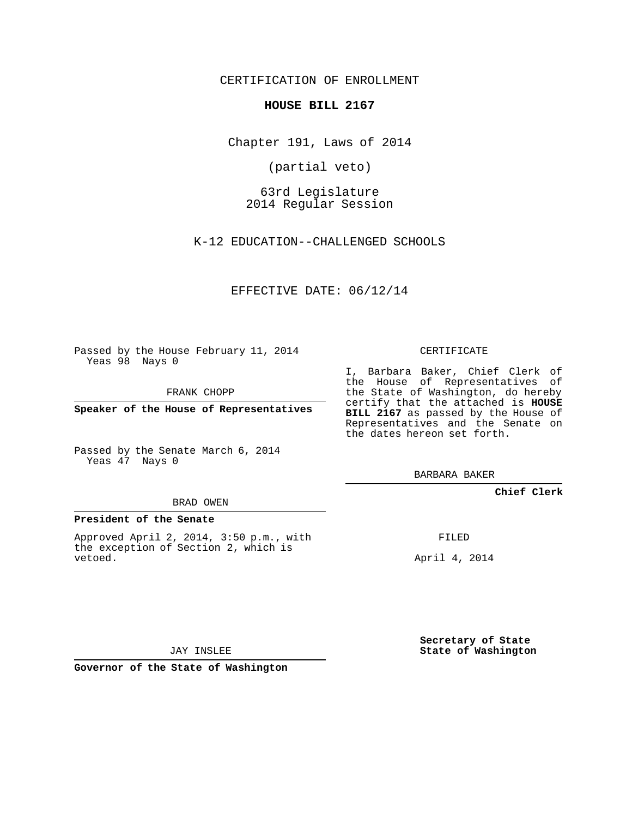CERTIFICATION OF ENROLLMENT

### **HOUSE BILL 2167**

Chapter 191, Laws of 2014

(partial veto)

63rd Legislature 2014 Regular Session

K-12 EDUCATION--CHALLENGED SCHOOLS

EFFECTIVE DATE: 06/12/14

Passed by the House February 11, 2014 Yeas 98 Nays 0

FRANK CHOPP

**Speaker of the House of Representatives**

Passed by the Senate March 6, 2014 Yeas 47 Nays 0

#### BRAD OWEN

#### **President of the Senate**

Approved April 2, 2014, 3:50 p.m., with the exception of Section 2, which is vetoed.

CERTIFICATE

I, Barbara Baker, Chief Clerk of the House of Representatives of the State of Washington, do hereby certify that the attached is **HOUSE BILL 2167** as passed by the House of Representatives and the Senate on the dates hereon set forth.

BARBARA BAKER

**Chief Clerk**

FILED

April 4, 2014

**Secretary of State State of Washington**

JAY INSLEE

**Governor of the State of Washington**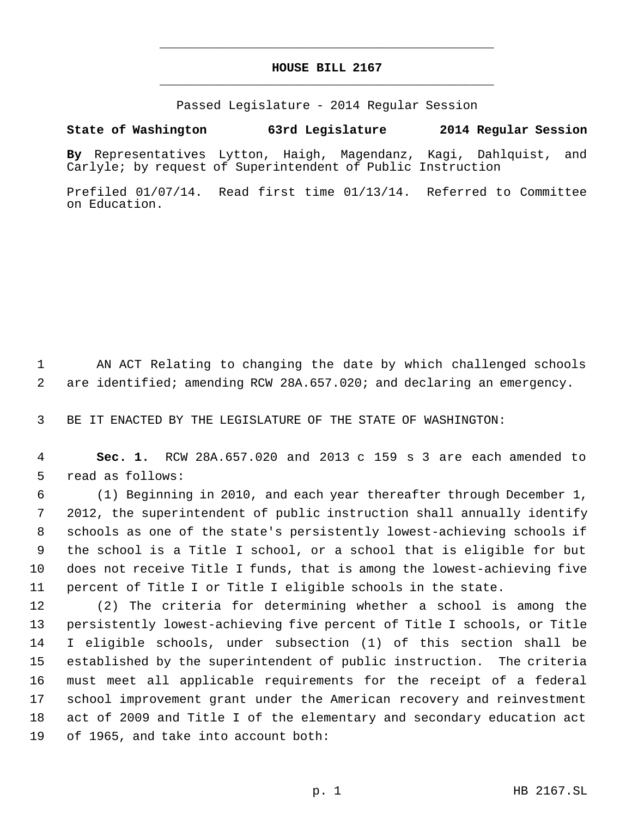## **HOUSE BILL 2167** \_\_\_\_\_\_\_\_\_\_\_\_\_\_\_\_\_\_\_\_\_\_\_\_\_\_\_\_\_\_\_\_\_\_\_\_\_\_\_\_\_\_\_\_\_

\_\_\_\_\_\_\_\_\_\_\_\_\_\_\_\_\_\_\_\_\_\_\_\_\_\_\_\_\_\_\_\_\_\_\_\_\_\_\_\_\_\_\_\_\_

Passed Legislature - 2014 Regular Session

## **State of Washington 63rd Legislature 2014 Regular Session**

**By** Representatives Lytton, Haigh, Magendanz, Kagi, Dahlquist, and Carlyle; by request of Superintendent of Public Instruction

Prefiled 01/07/14. Read first time 01/13/14. Referred to Committee on Education.

 AN ACT Relating to changing the date by which challenged schools are identified; amending RCW 28A.657.020; and declaring an emergency.

BE IT ENACTED BY THE LEGISLATURE OF THE STATE OF WASHINGTON:

 **Sec. 1.** RCW 28A.657.020 and 2013 c 159 s 3 are each amended to read as follows:

 (1) Beginning in 2010, and each year thereafter through December 1, 2012, the superintendent of public instruction shall annually identify schools as one of the state's persistently lowest-achieving schools if the school is a Title I school, or a school that is eligible for but does not receive Title I funds, that is among the lowest-achieving five percent of Title I or Title I eligible schools in the state.

 (2) The criteria for determining whether a school is among the persistently lowest-achieving five percent of Title I schools, or Title I eligible schools, under subsection (1) of this section shall be established by the superintendent of public instruction. The criteria must meet all applicable requirements for the receipt of a federal school improvement grant under the American recovery and reinvestment act of 2009 and Title I of the elementary and secondary education act of 1965, and take into account both: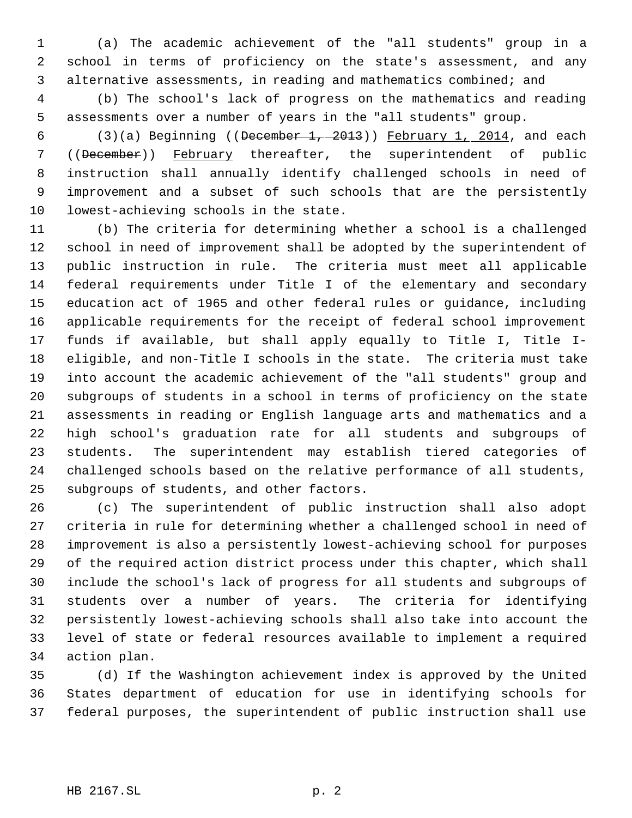(a) The academic achievement of the "all students" group in a school in terms of proficiency on the state's assessment, and any alternative assessments, in reading and mathematics combined; and

 (b) The school's lack of progress on the mathematics and reading assessments over a number of years in the "all students" group.

6 (3)(a) Beginning ((December  $1, -2013$ )) February 1, 2014, and each ((December)) February thereafter, the superintendent of public instruction shall annually identify challenged schools in need of improvement and a subset of such schools that are the persistently lowest-achieving schools in the state.

 (b) The criteria for determining whether a school is a challenged school in need of improvement shall be adopted by the superintendent of public instruction in rule. The criteria must meet all applicable federal requirements under Title I of the elementary and secondary education act of 1965 and other federal rules or guidance, including applicable requirements for the receipt of federal school improvement funds if available, but shall apply equally to Title I, Title I- eligible, and non-Title I schools in the state. The criteria must take into account the academic achievement of the "all students" group and subgroups of students in a school in terms of proficiency on the state assessments in reading or English language arts and mathematics and a high school's graduation rate for all students and subgroups of students. The superintendent may establish tiered categories of challenged schools based on the relative performance of all students, subgroups of students, and other factors.

 (c) The superintendent of public instruction shall also adopt criteria in rule for determining whether a challenged school in need of improvement is also a persistently lowest-achieving school for purposes of the required action district process under this chapter, which shall include the school's lack of progress for all students and subgroups of students over a number of years. The criteria for identifying persistently lowest-achieving schools shall also take into account the level of state or federal resources available to implement a required action plan.

 (d) If the Washington achievement index is approved by the United States department of education for use in identifying schools for federal purposes, the superintendent of public instruction shall use